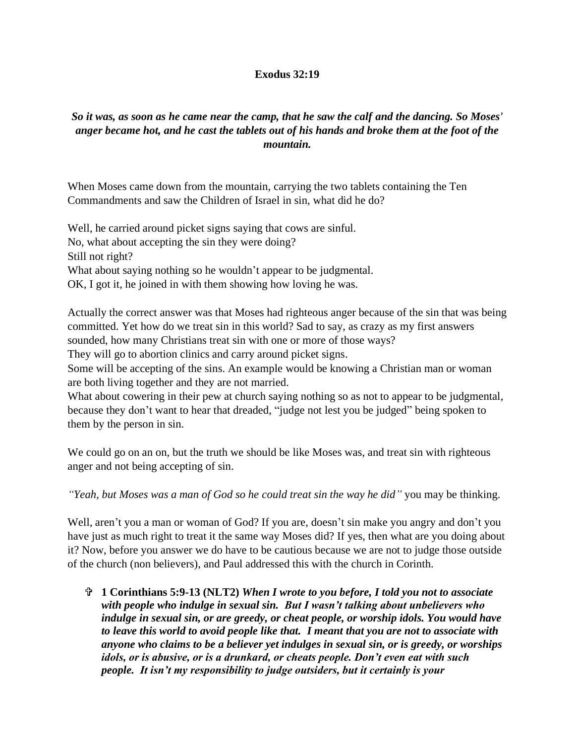## **Exodus 32:19**

## *So it was, as soon as he came near the camp, that he saw the calf and the dancing. So Moses' anger became hot, and he cast the tablets out of his hands and broke them at the foot of the mountain.*

When Moses came down from the mountain, carrying the two tablets containing the Ten Commandments and saw the Children of Israel in sin, what did he do?

Well, he carried around picket signs saying that cows are sinful. No, what about accepting the sin they were doing? Still not right? What about saying nothing so he wouldn't appear to be judgmental. OK, I got it, he joined in with them showing how loving he was.

Actually the correct answer was that Moses had righteous anger because of the sin that was being committed. Yet how do we treat sin in this world? Sad to say, as crazy as my first answers sounded, how many Christians treat sin with one or more of those ways?

They will go to abortion clinics and carry around picket signs.

Some will be accepting of the sins. An example would be knowing a Christian man or woman are both living together and they are not married.

What about cowering in their pew at church saying nothing so as not to appear to be judgmental, because they don't want to hear that dreaded, "judge not lest you be judged" being spoken to them by the person in sin.

We could go on an on, but the truth we should be like Moses was, and treat sin with righteous anger and not being accepting of sin.

*"Yeah, but Moses was a man of God so he could treat sin the way he did"* you may be thinking.

Well, aren't you a man or woman of God? If you are, doesn't sin make you angry and don't you have just as much right to treat it the same way Moses did? If yes, then what are you doing about it? Now, before you answer we do have to be cautious because we are not to judge those outside of the church (non believers), and Paul addressed this with the church in Corinth.

 **1 Corinthians 5:9-13 (NLT2)** *When I wrote to you before, I told you not to associate with people who indulge in sexual sin. But I wasn't talking about unbelievers who indulge in sexual sin, or are greedy, or cheat people, or worship idols. You would have to leave this world to avoid people like that. I meant that you are not to associate with anyone who claims to be a believer yet indulges in sexual sin, or is greedy, or worships idols, or is abusive, or is a drunkard, or cheats people. Don't even eat with such people. It isn't my responsibility to judge outsiders, but it certainly is your*